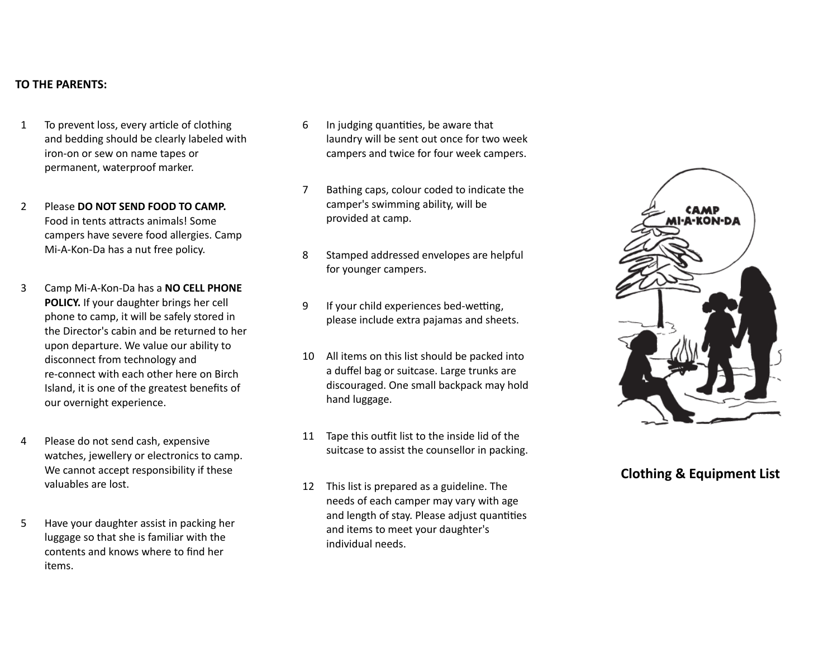#### **TO THE PARENTS:**

- 1 To prevent loss, every article of clothing and bedding should be clearly labeled with iron-on or sew on name tapes or permanent, waterproof marker.
- 2 Please **DO NOT SEND FOOD TO CAMP.** Food in tents attracts animals! Some campers have severe food allergies. Camp Mi-A-Kon-Da has a nut free policy.
- 3 Camp Mi-A-Kon-Da has a **NO CELL PHONE POLICY.** If your daughter brings her cell phone to camp, it will be safely stored in the Director's cabin and be returned to her upon departure. We value our ability to disconnect from technology and re-connect with each other here on Birch Island, it is one of the greatest benefits of our overnight experience.
- 4 Please do not send cash, expensive watches, jewellery or electronics to camp. We cannot accept responsibility if these valuables are lost.
- 5 Have your daughter assist in packing her luggage so that she is familiar with the contents and knows where to find her items.
- $6$  In judging quantities, be aware that laundry will be sent out once for two week campers and twice for four week campers.
- 7 Bathing caps, colour coded to indicate the camper's swimming ability, will be provided at camp.
- 8 Stamped addressed envelopes are helpful for younger campers.
- 9 If your child experiences bed-wetting, please include extra pajamas and sheets.
- 10 All items on this list should be packed into a duffel bag or suitcase. Large trunks are discouraged. One small backpack may hold hand luggage.
- 11 Tape this outfit list to the inside lid of the suitcase to assist the counsellor in packing.
- 12 This list is prepared as a guideline. The needs of each camper may vary with age and length of stay. Please adjust quantities and items to meet your daughter's individual needs.



# **Clothing & Equipment List**